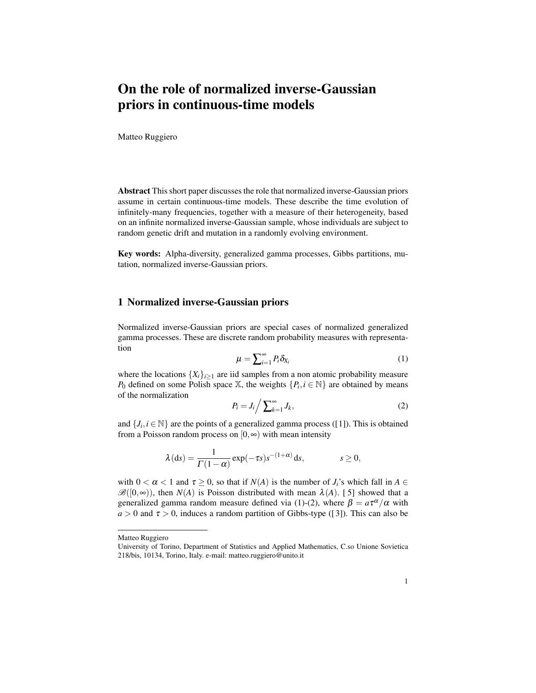## On the role of normalized inverse-Gaussian priors in continuous-time models

Matteo Ruggiero

Abstract This short paper discusses the role that normalized inverse-Gaussian priors assume in certain continuous-time models. These describe the time evolution of infinitely-many frequencies, together with a measure of their heterogeneity, based on an infinite normalized inverse-Gaussian sample, whose individuals are subject to random genetic drift and mutation in a randomly evolving environment.

Key words: Alpha-diversity, generalized gamma processes, Gibbs partitions, mutation, normalized inverse-Gaussian priors.

## 1 Normalized inverse-Gaussian priors

Normalized inverse-Gaussian priors are special cases of normalized generalized gamma processes. These are discrete random probability measures with representation

$$
\mu = \sum_{i=1}^{\infty} P_i \delta_{X_i} \tag{1}
$$

where the locations  $\{X_i\}_{i\geq 1}$  are iid samples from a non atomic probability measure *P*<sub>0</sub> defined on some Polish space X, the weights  $\{P_i, i \in \mathbb{N}\}\$  are obtained by means of the normalization

$$
P_i = J_i / \sum_{k=1}^{\infty} J_k,\tag{2}
$$

and  $\{J_i, i \in \mathbb{N}\}\$ are the points of a generalized gamma process ([1]). This is obtained from a Poisson random process on [0*,*∞) with mean intensity

$$
\lambda(ds) = \frac{1}{\Gamma(1-\alpha)} \exp(-\tau s) s^{-(1+\alpha)} ds, \qquad s \ge 0,
$$

with  $0 < \alpha < 1$  and  $\tau > 0$ , so that if  $N(A)$  is the number of *J<sub>i</sub>*'s which fall in  $A \in$  $\mathscr{B}([0,\infty))$ , then *N*(*A*) is Poisson distributed with mean  $\lambda(A)$ . [5] showed that a generalized gamma random measure defined via (1)-(2), where  $\beta = a\tau^{\alpha}/\alpha$  with  $a > 0$  and  $\tau > 0$ , induces a random partition of Gibbs-type ([3]). This can also be

Matteo Ruggiero

University of Torino, Department of Statistics and Applied Mathematics, C.so Unione Sovietica 218/bis, 10134, Torino, Italy. e-mail: matteo.ruggiero@unito.it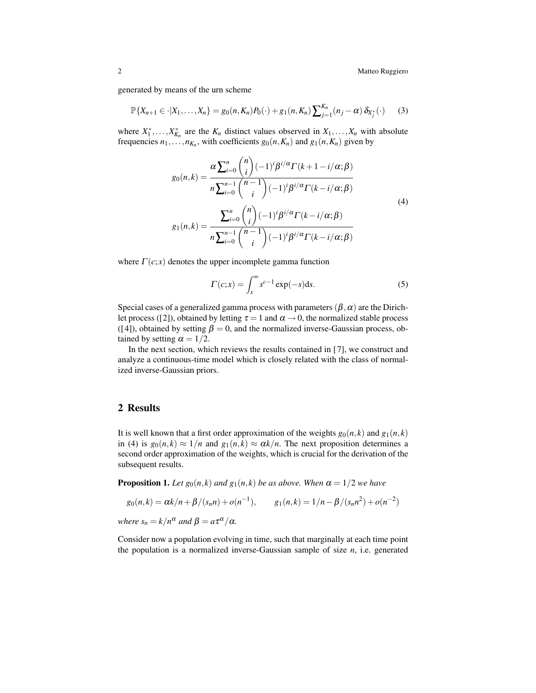2 Matteo Ruggiero

generated by means of the urn scheme

$$
\mathbb{P}\{X_{n+1}\in\cdot|X_1,\ldots,X_n\}=g_0(n,K_n)P_0(\cdot)+g_1(n,K_n)\sum_{j=1}^{K_n}(n_j-\alpha)\,\delta_{X_j^*}(\cdot)\qquad(3)
$$

where  $X_1^*, \ldots, X_{K_n}^*$  are the  $K_n$  distinct values observed in  $X_1, \ldots, X_n$  with absolute frequencies  $n_1, \ldots, n_{K_n}$ , with coefficients  $g_0(n, K_n)$  and  $g_1(n, K_n)$  given by

$$
g_0(n,k) = \frac{\alpha \sum_{i=0}^n {n \choose i} (-1)^i \beta^{i/\alpha} \Gamma(k+1-i/\alpha;\beta)}{n \sum_{i=0}^{n-1} {n-1 \choose i} (-1)^i \beta^{i/\alpha} \Gamma(k-i/\alpha;\beta)}
$$
  

$$
g_1(n,k) = \frac{\sum_{i=0}^n {n \choose i} (-1)^i \beta^{i/\alpha} \Gamma(k-i/\alpha;\beta)}{n \sum_{i=0}^{n-1} {n-1 \choose i} (-1)^i \beta^{i/\alpha} \Gamma(k-i/\alpha;\beta)}
$$
  
(4)

where  $\Gamma(c; x)$  denotes the upper incomplete gamma function

$$
\Gamma(c;x) = \int_{x}^{\infty} s^{c-1} \exp(-s) \, \mathrm{d}s. \tag{5}
$$

Special cases of a generalized gamma process with parameters  $(\beta, \alpha)$  are the Dirichlet process ([2]), obtained by letting  $\tau = 1$  and  $\alpha \rightarrow 0$ , the normalized stable process ([4]), obtained by setting  $\beta = 0$ , and the normalized inverse-Gaussian process, obtained by setting  $\alpha = 1/2$ .

In the next section, which reviews the results contained in [7], we construct and analyze a continuous-time model which is closely related with the class of normalized inverse-Gaussian priors.

## 2 Results

It is well known that a first order approximation of the weights  $g_0(n, k)$  and  $g_1(n, k)$ in (4) is  $g_0(n,k) \approx 1/n$  and  $g_1(n,k) \approx \alpha k/n$ . The next proposition determines a second order approximation of the weights, which is crucial for the derivation of the subsequent results.

**Proposition 1.** Let  $g_0(n, k)$  and  $g_1(n, k)$  be as above. When  $\alpha = 1/2$  we have

$$
g_0(n,k) = \alpha k/n + \beta/(s_n n) + o(n^{-1}),
$$
  $g_1(n,k) = 1/n - \beta/(s_n n^2) + o(n^{-2})$ 

*where*  $s_n = k/n^{\alpha}$  *and*  $\beta = a\tau^{\alpha}/\alpha$ *.* 

Consider now a population evolving in time, such that marginally at each time point the population is a normalized inverse-Gaussian sample of size *n*, i.e. generated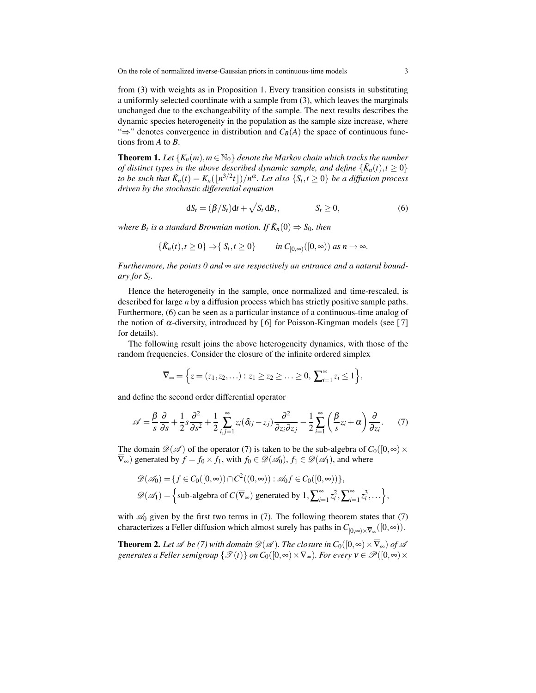On the role of normalized inverse-Gaussian priors in continuous-time models 3

from (3) with weights as in Proposition 1. Every transition consists in substituting a uniformly selected coordinate with a sample from (3), which leaves the marginals unchanged due to the exchangeability of the sample. The next results describes the dynamic species heterogeneity in the population as the sample size increase, where " $\Rightarrow$ " denotes convergence in distribution and  $C_B(A)$  the space of continuous functions from *A* to *B*.

**Theorem 1.** Let  $\{K_n(m), m \in \mathbb{N}_0\}$  denote the Markov chain which tracks the number *of distinct types in the above described dynamic sample, and define*  $\{\tilde{K}_n(t), t \geq 0\}$ *to be such that*  $\tilde{K}_n(t) = K_n(|n^{3/2}t|)/n^{\alpha}$ . Let also  $\{S_t, t \geq 0\}$  be a diffusion process *driven by the stochastic differential equation*

$$
dS_t = (\beta/S_t)dt + \sqrt{S_t} dB_t, \qquad S_t \ge 0,
$$
\n(6)

*where*  $B_t$  *is a standard Brownian motion. If*  $\tilde{K}_n(0) \Rightarrow S_0$ *, then* 

$$
\{\tilde{K}_n(t), t \ge 0\} \Rightarrow \{S_t, t \ge 0\} \qquad \text{in } C_{[0,\infty)}([0,\infty)) \text{ as } n \to \infty.
$$

*Furthermore, the points 0 and* ∞ *are respectively an entrance and a natural boundary for St.*

Hence the heterogeneity in the sample, once normalized and time-rescaled, is described for large *n* by a diffusion process which has strictly positive sample paths. Furthermore, (6) can be seen as a particular instance of a continuous-time analog of the notion of  $\alpha$ -diversity, introduced by [6] for Poisson-Kingman models (see [7] for details).

The following result joins the above heterogeneity dynamics, with those of the random frequencies. Consider the closure of the infinite ordered simplex

$$
\overline{\nabla}_{\infty} = \left\{ z = (z_1, z_2, \ldots) : z_1 \geq z_2 \geq \ldots \geq 0, \sum_{i=1}^{\infty} z_i \leq 1 \right\},\
$$

and define the second order differential operator

$$
\mathscr{A} = \frac{\beta}{s} \frac{\partial}{\partial s} + \frac{1}{2} s \frac{\partial^2}{\partial s^2} + \frac{1}{2} \sum_{i,j=1}^{\infty} z_i (\delta_{ij} - z_j) \frac{\partial^2}{\partial z_i \partial z_j} - \frac{1}{2} \sum_{i=1}^{\infty} \left( \frac{\beta}{s} z_i + \alpha \right) \frac{\partial}{\partial z_i}.
$$
 (7)

The domain  $\mathcal{D}(\mathcal{A})$  of the operator (7) is taken to be the sub-algebra of  $C_0([0,\infty) \times$  $\nabla_{\infty}$ ) generated by  $f = f_0 \times f_1$ , with  $f_0 \in \mathcal{D}(\mathcal{A}_0)$ ,  $f_1 \in \mathcal{D}(\mathcal{A}_1)$ , and where

$$
\mathscr{D}(\mathscr{A}_0) = \{ f \in C_0([0,\infty)) \cap C^2((0,\infty)) : \mathscr{A}_0 f \in C_0([0,\infty)) \},\
$$
  

$$
\mathscr{D}(\mathscr{A}_1) = \left\{ \text{sub-algebra of } C(\overline{\nabla}_{\infty}) \text{ generated by } 1, \sum_{i=1}^{\infty} z_i^2, \sum_{i=1}^{\infty} z_i^3, \dots \right\},\
$$

with  $\mathcal{A}_0$  given by the first two terms in (7). The following theorem states that (7) characterizes a Feller diffusion which almost surely has paths in  $C_{[0,\infty)\times\overline{V}_\infty}([0,\infty))$ .

**Theorem 2.** Let  $\mathscr A$  be (7) with domain  $\mathscr D(\mathscr A)$ . The closure in  $C_0([0,\infty)\times\overline{\nabla}_{\infty})$  of  $\mathscr A$ *generates a Feller semigroup*  $\{\mathcal{T}(t)\}\$ *on*  $C_0([0,\infty)\times\overline{V}_\infty)$ *. For every*  $v \in \mathcal{P}([0,\infty)\times\mathcal{P}$